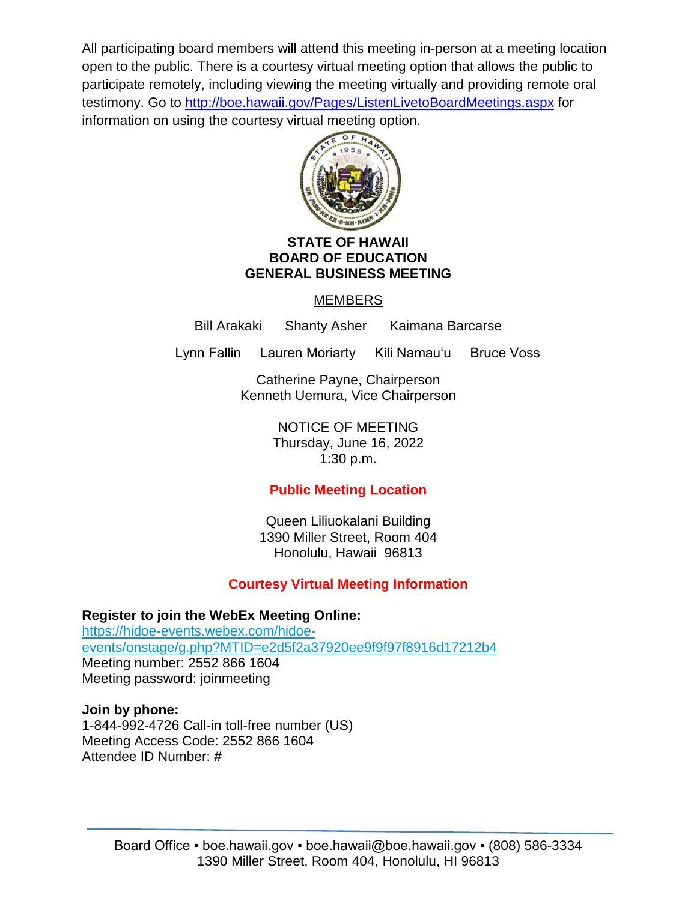All participating board members will attend this meeting in-person at a meeting location open to the public. There is a courtesy virtual meeting option that allows the public to participate remotely, including viewing the meeting virtually and providing remote oral testimony. Go to<http://boe.hawaii.gov/Pages/ListenLivetoBoardMeetings.aspx> for information on using the courtesy virtual meeting option.



## **STATE OF HAWAII BOARD OF EDUCATION GENERAL BUSINESS MEETING**

# MEMBERS

Bill Arakaki Shanty Asher Kaimana Barcarse

Lynn Fallin Lauren Moriarty Kili Namauʻu Bruce Voss

Catherine Payne, Chairperson Kenneth Uemura, Vice Chairperson

NOTICE OF MEETING

Thursday, June 16, 2022 1:30 p.m.

# **Public Meeting Location**

Queen Liliuokalani Building 1390 Miller Street, Room 404 Honolulu, Hawaii 96813

# **Courtesy Virtual Meeting Information**

**Register to join the WebEx Meeting Online:** [https://hidoe-events.webex.com/hidoe](https://hidoe-events.webex.com/hidoe-events/onstage/g.php?MTID=e2d5f2a37920ee9f9f97f8916d17212b4)[events/onstage/g.php?MTID=e2d5f2a37920ee9f9f97f8916d17212b4](https://hidoe-events.webex.com/hidoe-events/onstage/g.php?MTID=e2d5f2a37920ee9f9f97f8916d17212b4) Meeting number: 2552 866 1604 Meeting password: joinmeeting

# **Join by phone:** 1-844-992-4726 Call-in toll-free number (US)

Meeting Access Code: 2552 866 1604 Attendee ID Number: #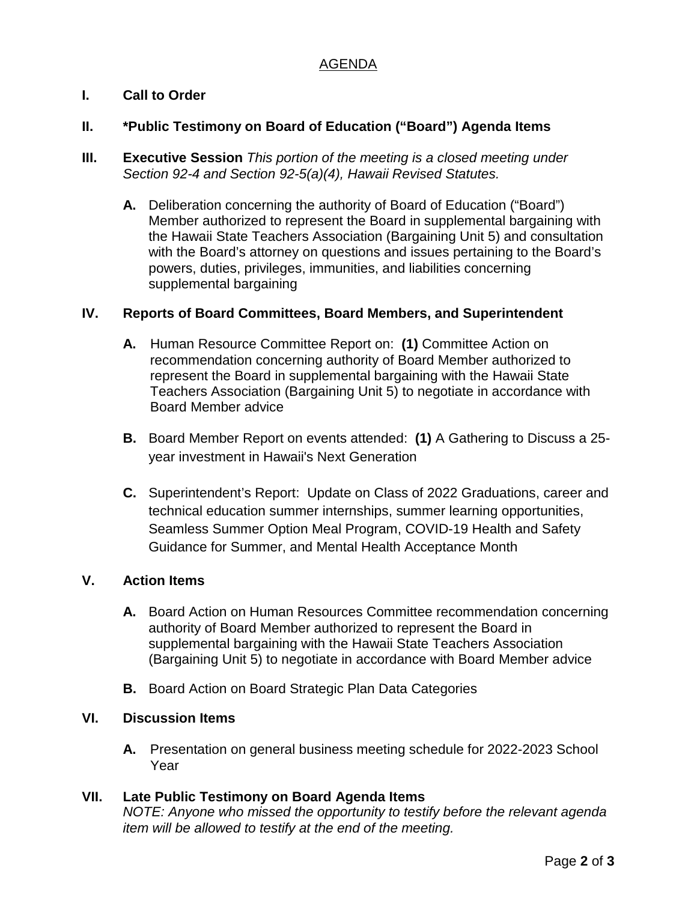## AGENDA

## **I. Call to Order**

#### **II. \*Public Testimony on Board of Education ("Board") Agenda Items**

- **III. Executive Session** *This portion of the meeting is a closed meeting under Section 92-4 and Section 92-5(a)(4), Hawaii Revised Statutes.* 
	- **A.** Deliberation concerning the authority of Board of Education ("Board") Member authorized to represent the Board in supplemental bargaining with the Hawaii State Teachers Association (Bargaining Unit 5) and consultation with the Board's attorney on questions and issues pertaining to the Board's powers, duties, privileges, immunities, and liabilities concerning supplemental bargaining

#### **IV. Reports of Board Committees, Board Members, and Superintendent**

- **A.** Human Resource Committee Report on: **(1)** Committee Action on recommendation concerning authority of Board Member authorized to represent the Board in supplemental bargaining with the Hawaii State Teachers Association (Bargaining Unit 5) to negotiate in accordance with Board Member advice
- **B.** Board Member Report on events attended: **(1)** A Gathering to Discuss a 25 year investment in Hawaii's Next Generation
- **C.** Superintendent's Report: Update on Class of 2022 Graduations, career and technical education summer internships, summer learning opportunities, Seamless Summer Option Meal Program, COVID-19 Health and Safety Guidance for Summer, and Mental Health Acceptance Month

#### **V. Action Items**

- **A.** Board Action on Human Resources Committee recommendation concerning authority of Board Member authorized to represent the Board in supplemental bargaining with the Hawaii State Teachers Association (Bargaining Unit 5) to negotiate in accordance with Board Member advice
- **B.** Board Action on Board Strategic Plan Data Categories

## **VI. Discussion Items**

**A.** Presentation on general business meeting schedule for 2022-2023 School Year

#### **VII. Late Public Testimony on Board Agenda Items**

*NOTE: Anyone who missed the opportunity to testify before the relevant agenda item will be allowed to testify at the end of the meeting.*